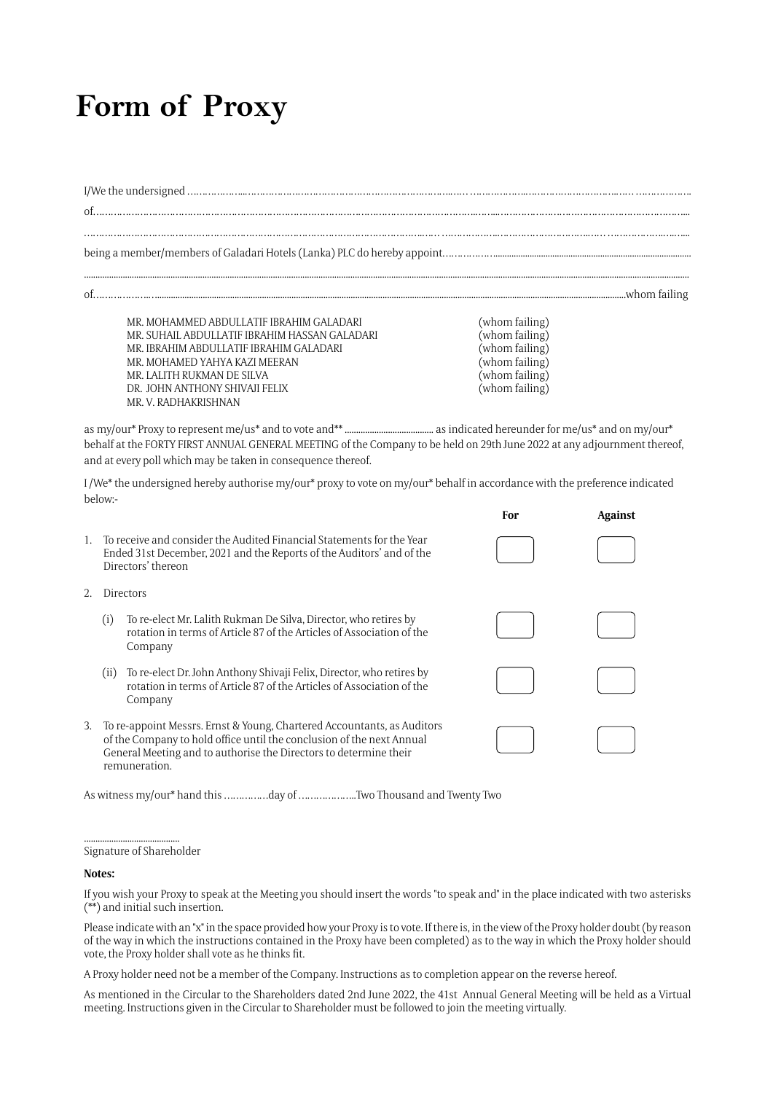## **Form of Proxy**

I/We the undersigned ………………..…………………………………………………………….…… ……………….………………………….…… ………………. of………………………………………………………………………………………………………………….……..………………………………………………………...

…………………………………………………………………………………………………….…… ……………….………………………….…… ……………….….…...

..........................................................................................................................................................................................................................................................................

being a member/members of Galadari Hotels (Lanka) PLC do hereby appoint………………......................................................................................

of……………….…..............................................................................................................................................................................................................whom failing

MR. MOHAMMED ABDULLATIF IBRAHIM GALADARI (whom failing) MR. SUHAIL ABDULLATIF IBRAHIM HASSAN GALADARI (whom failing) MR. IBRAHIM ABDULLATIF IBRAHIM GALADARI (whom failing) MR. MOHAMED YAHYA KAZI MEERAN (whom failing) MR. LALITH RUKMAN DE SILVA (whom failing) DR. JOHN ANTHONY SHIVAJI FELIX MR. V. RADHAKRISHNAN

**For Against**

as my/our\* Proxy to represent me/us\* and to vote and\*\* ....................................... as indicated hereunder for me/us\* and on my/our\* behalf at the FORTY FIRST ANNUAL GENERAL MEETING of the Company to be held on 29th June 2022 at any adjournment thereof, and at every poll which may be taken in consequence thereof.

I /We\* the undersigned hereby authorise my/our\* proxy to vote on my/our\* behalf in accordance with the preference indicated below:-

|    |                                                                                                                                                                                                                                        | To receive and consider the Audited Financial Statements for the Year<br>Ended 31st December, 2021 and the Reports of the Auditors' and of the<br>Directors' thereon |  |  |
|----|----------------------------------------------------------------------------------------------------------------------------------------------------------------------------------------------------------------------------------------|----------------------------------------------------------------------------------------------------------------------------------------------------------------------|--|--|
| 2. | Directors                                                                                                                                                                                                                              |                                                                                                                                                                      |  |  |
|    | (i)                                                                                                                                                                                                                                    | To re-elect Mr. Lalith Rukman De Silva, Director, who retires by<br>rotation in terms of Article 87 of the Articles of Association of the<br>Company                 |  |  |
|    | (11)                                                                                                                                                                                                                                   | To re-elect Dr. John Anthony Shivaji Felix, Director, who retires by<br>rotation in terms of Article 87 of the Articles of Association of the<br>Company             |  |  |
| 3. | To re-appoint Messrs. Ernst & Young, Chartered Accountants, as Auditors<br>of the Company to hold office until the conclusion of the next Annual<br>General Meeting and to authorise the Directors to determine their<br>remuneration. |                                                                                                                                                                      |  |  |

As witness my/our\* hand this ……………day of ………………..Two Thousand and Twenty Two

## .......................................... Signature of Shareholder

## **Notes:**

If you wish your Proxy to speak at the Meeting you should insert the words "to speak and" in the place indicated with two asterisks (\*\*) and initial such insertion.

Please indicate with an "x" in the space provided how your Proxy is to vote. If there is, in the view of the Proxy holder doubt (by reason of the way in which the instructions contained in the Proxy have been completed) as to the way in which the Proxy holder should vote, the Proxy holder shall vote as he thinks fit.

A Proxy holder need not be a member of the Company. Instructions as to completion appear on the reverse hereof.

As mentioned in the Circular to the Shareholders dated 2nd June 2022, the 41st Annual General Meeting will be held as a Virtual meeting. Instructions given in the Circular to Shareholder must be followed to join the meeting virtually.